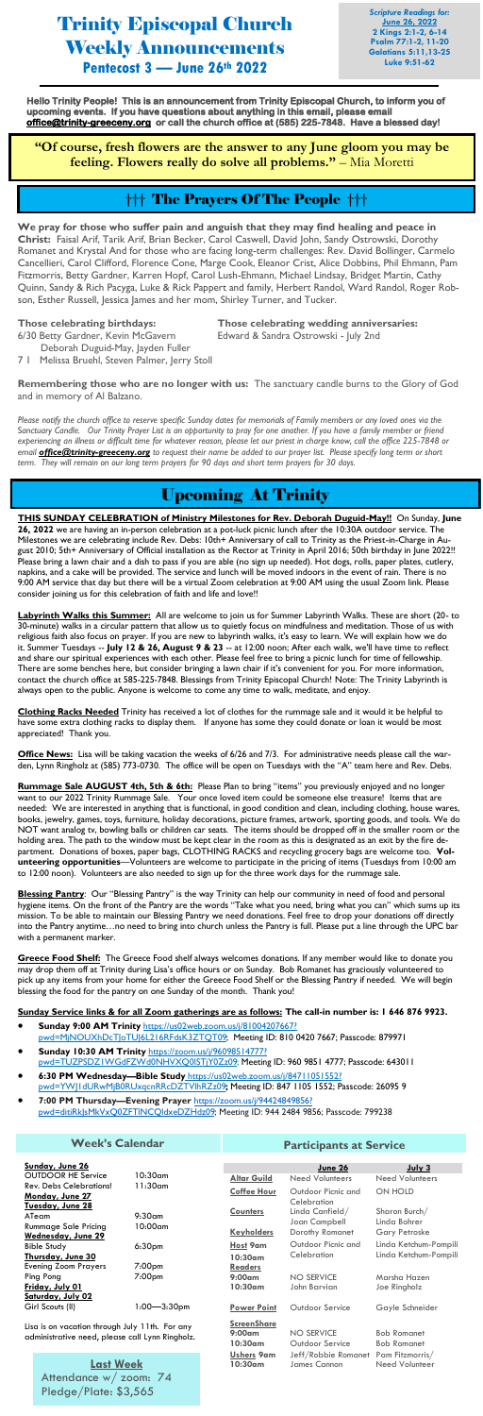Trinity Episcopal Church Weekly Announcements **Pentecost 3 — June 26th 2022**

*Scripture Readings for:* **June 26, 2022 2 Kings 2:1-2, 6-14 Psalm 77:1-2, 11-20 Galatians 5:11,13-25 Luke 9:51-62**

## Upcoming At Trinity

**THIS SUNDAY CELEBRATION of Ministry Milestones for Rev. Deborah Duguid-May!!** On Sunday, **June 26, 2022** we are having an in-person celebration at a pot-luck picnic lunch after the 10:30A outdoor service. The Milestones we are celebrating include Rev. Debs: 10th+ Anniversary of call to Trinity as the Priest-in-Charge in August 2010; 5th+ Anniversary of Official installation as the Rector at Trinity in April 2016; 50th birthday in June 2022!! Please bring a lawn chair and a dish to pass if you are able (no sign up needed). Hot dogs, rolls, paper plates, cutlery, napkins, and a cake will be provided. The service and lunch will be moved indoors in the event of rain. There is no 9:00 AM service that day but there will be a virtual Zoom celebration at 9:00 AM using the usual Zoom link. Please consider joining us for this celebration of faith and life and love!!

**Labyrinth Walks this Summer:** All are welcome to join us for Summer Labyrinth Walks. These are short (20- to 30-minute) walks in a circular pattern that allow us to quietly focus on mindfulness and meditation. Those of us with religious faith also focus on prayer. If you are new to labyrinth walks, it's easy to learn. We will explain how we do it. Summer Tuesdays -- **July 12 & 26, August 9 & 23** -- at 12:00 noon; After each walk, we'll have time to reflect and share our spiritual experiences with each other. Please feel free to bring a picnic lunch for time of fellowship. There are some benches here, but consider bringing a lawn chair if it's convenient for you. For more information, contact the church office at 585-225-7848. Blessings from Trinity Episcopal Church! Note: The Trinity Labyrinth is always open to the public. Anyone is welcome to come any time to walk, meditate, and enjoy.

**Clothing Racks Needed** Trinity has received a lot of clothes for the rummage sale and it would it be helpful to have some extra clothing racks to display them. If anyone has some they could donate or loan it would be most appreciated! Thank you.

**Office News:** Lisa will be taking vacation the weeks of 6/26 and 7/3. For administrative needs please call the warden, Lynn Ringholz at (585) 773-0730. The office will be open on Tuesdays with the "A" team here and Rev. Debs.

**Rummage Sale AUGUST 4th, 5th & 6th:** Please Plan to bring "items" you previously enjoyed and no longer want to our 2022 Trinity Rummage Sale. Your once loved item could be someone else treasure! Items that are needed: We are interested in anything that is functional, in good condition and clean, including clothing, house wares, books, jewelry, games, toys, furniture, holiday decorations, picture frames, artwork, sporting goods, and tools. We do NOT want analog tv, bowling balls or children car seats. The items should be dropped off in the smaller room or the holding area. The path to the window must be kept clear in the room as this is designated as an exit by the fire department. Donations of boxes, paper bags, CLOTHING RACKS and recycling grocery bags are welcome too. **Volunteering opportunities**—Volunteers are welcome to participate in the pricing of items (Tuesdays from 10:00 am to 12:00 noon). Volunteers are also needed to sign up for the three work days for the rummage sale.

**Blessing Pantry**: Our "Blessing Pantry" is the way Trinity can help our community in need of food and personal hygiene items. On the front of the Pantry are the words "Take what you need, bring what you can" which sums up its mission. To be able to maintain our Blessing Pantry we need donations. Feel free to drop your donations off directly into the Pantry anytime…no need to bring into church unless the Pantry is full. Please put a line through the UPC bar with a permanent marker.

**Greece Food Shelf:** The Greece Food shelf always welcomes donations. If any member would like to donate you may drop them off at Trinity during Lisa's office hours or on Sunday. Bob Romanet has graciously volunteered to pick up any items from your home for either the Greece Food Shelf or the Blessing Pantry if needed. We will begin blessing the food for the pantry on one Sunday of the month. Thank you!

### **Sunday Service links & for all Zoom gatherings are as follows: The call-in number is: 1 646 876 9923.**

• **Sunday 9:00 AM Trinity** [https://us02web.zoom.us/j/81004207667?](https://us02web.zoom.us/j/81004207667?pwd=MjNOUXhDcTJoTUJ6L216RFdsK3ZTQT09) [pwd=MjNOUXhDcTJoTUJ6L216RFdsK3ZTQT09;](https://us02web.zoom.us/j/81004207667?pwd=MjNOUXhDcTJoTUJ6L216RFdsK3ZTQT09) Meeting ID: 810 0420 7667; Passcode: 879971

## • **Sunday 10:30 AM Trinity** [https://zoom.us/j/96098514777?](https://zoom.us/j/96098514777?pwd=TUZPSDZ1WGdFZWd0NHVXQ0lSTjY0Zz09)

- [pwd=TUZPSDZ1WGdFZWd0NHVXQ0lSTjY0Zz09;](https://zoom.us/j/96098514777?pwd=TUZPSDZ1WGdFZWd0NHVXQ0lSTjY0Zz09) Meeting ID: 960 9851 4777; Passcode: 643011
- **6:30 PM Wednesday—Bible Study** [https://us02web.zoom.us/j/84711051552?](https://us02web.zoom.us/j/84711051552?pwd=YWJ1dURwMjB0RUxqcnRRcDZTVlhRZz09)  [pwd=YWJ1dURwMjB0RUxqcnRRcDZTVlhRZz09](https://us02web.zoom.us/j/84711051552?pwd=YWJ1dURwMjB0RUxqcnRRcDZTVlhRZz09)**;** Meeting ID: 847 1105 1552; Passcode: 26095 9
- **7:00 PM Thursday—Evening Prayer** [https://zoom.us/j/94424849856?](https://na01.safelinks.protection.outlook.com/?url=https%3A%2F%2Fzoom.us%2Fj%2F94424849856%3Fpwd%3DditiRkJsMkVxQ0ZFTlNCQldxeDZHdz09&data=04%7C01%7C%7Ce7e1b6e0cf1640ae3cfa08d9ed8c6bda%7C84df9e7fe9f640afb435aaaaaaaaaaaa%7C1%7C0%7C637802009781898997%7CUnknown%7C) [pwd=ditiRkJsMkVxQ0ZFTlNCQldxeDZHdz09;](https://na01.safelinks.protection.outlook.com/?url=https%3A%2F%2Fzoom.us%2Fj%2F94424849856%3Fpwd%3DditiRkJsMkVxQ0ZFTlNCQldxeDZHdz09&data=04%7C01%7C%7Ce7e1b6e0cf1640ae3cfa08d9ed8c6bda%7C84df9e7fe9f640afb435aaaaaaaaaaaa%7C1%7C0%7C637802009781898997%7CUnknown%7C) Meeting ID: 944 2484 9856; Passcode: 799238

**Hello Trinity People! This is an announcement from Trinity Episcopal Church, to inform you of upcoming events. If you have questions about anything in this email, please email [office@trinity-greeceny.org](mailto:office@trinity-greeceny.org) or call the church office at (585) 225-7848. Have a blessed day!** 

**"Of course, fresh flowers are the answer to any June gloom you may be feeling. Flowers really do solve all problems."** – Mia Moretti

**We pray for those who suffer pain and anguish that they may find healing and peace in Christ:** Faisal Arif, Tarik Arif, Brian Becker, Carol Caswell, David John, Sandy Ostrowski, Dorothy Romanet and Krystal And for those who are facing long-term challenges: Rev. David Bollinger, Carmelo Cancellieri, Carol Clifford, Florence Cone, Marge Cook, Eleanor Crist, Alice Dobbins, Phil Ehmann, Pam Fitzmorris, Betty Gardner, Karren Hopf, Carol Lush-Ehmann, Michael Lindsay, Bridget Martin, Cathy Quinn, Sandy & Rich Pacyga, Luke & Rick Pappert and family, Herbert Randol, Ward Randol, Roger Robson, Esther Russell, Jessica James and her mom, Shirley Turner, and Tucker.

**Those celebrating birthdays: Those celebrating wedding anniversaries:**

6/30 Betty Gardner, Kevin McGavern Edward & Sandra Ostrowski - July 2nd

- Deborah Duguid-May, Jayden Fuller
- 7 1 Melissa Bruehl, Steven Palmer, Jerry Stoll

**Remembering those who are no longer with us:** The sanctuary candle burns to the Glory of God and in memory of Al Balzano.

*Please notify the church office to reserve specific Sunday dates for memorials of Family members or any loved ones via the* S*anctuary Candle. Our Trinity Prayer List is an opportunity to pray for one another. If you have a family member or friend experiencing an illness or difficult time for whatever reason, please let our priest in charge know, call the office 225-7848 or email [office@trinity-greeceny.org](mailto:office@trinity-greeceny.org) to request their name be added to our prayer list. Please specify long term or short term. They will remain on our long term prayers for 90 days and short term prayers for 30 days.*

## ††† The Prayers Of The People †††

#### **Week's Calendar**

**Last Week** Attendance w/ zoom: 74 Pledge/Plate: \$3,565

| Sunday, June 26                                                                                   |                                    |                                        | June 26                             | July 3                                   |
|---------------------------------------------------------------------------------------------------|------------------------------------|----------------------------------------|-------------------------------------|------------------------------------------|
| <b>OUTDOOR HE Service</b>                                                                         | $10:30$ am                         | <b>Altar Guild</b>                     | Need Volunteers                     | Need Volunteers                          |
| <b>Rev. Debs Celebrations!</b><br>Monday, June 27                                                 | 11:30am<br>$9:30$ am<br>$10:00$ am | <b>Coffee Hour</b>                     | Outdoor Picnic and<br>Celebration   | ON HOLD                                  |
| Tuesday, June 28<br>ATeam<br><b>Rummage Sale Pricing</b>                                          |                                    | <b>Counters</b>                        | Linda Canfield/<br>Joan Campbell    | Sharon Burch/<br>Linda Bohrer            |
| Wednesday, June 29                                                                                |                                    | <b>Keyholders</b>                      | Dorothy Romanet                     | Gary Petroske                            |
| <b>Bible Study</b>                                                                                | 6:30 <sub>pm</sub>                 | Host 9am                               | Outdoor Picnic and                  | Linda Ketchum-Pompili                    |
| Thursday, June 30<br><b>Evening Zoom Prayers</b>                                                  | 7:00 <sub>pm</sub>                 | $10:30$ am<br><b>Readers</b>           | Celebration                         | Linda Ketchum-Pompili                    |
| Ping Pong                                                                                         | 7:00 <sub>pm</sub>                 | $9:00$ am                              | NO SERVICE                          | Marsha Hazen                             |
| Friday, July 01<br><b>Saturday, July 02</b>                                                       |                                    | $10:30$ am                             | John Barvian                        | Joe Ringholz                             |
| Girl Scouts (II)                                                                                  | $1:00 - 3:30$ pm                   | <b>Power Point</b>                     | Outdoor Service                     | Gayle Schneider                          |
| Lisa is on vacation through July 11th. For any<br>administrative need, please call Lynn Ringholz. |                                    | ScreenShare<br>$9:00$ am<br>$10:30$ am | NO SERVICE<br>Outdoor Service       | <b>Bob Romanet</b><br><b>Bob Romanet</b> |
| <b>Last Week</b>                                                                                  |                                    | Ushers 9am<br>10:30am                  | Jeff/Robbie Romanet<br>James Cannon | Pam Fitzmorris/<br>Need Volunteer        |

#### **Participants at Service**